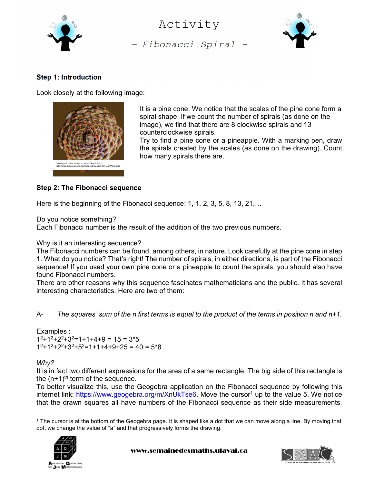

- Fibonacci Spiral - Activity



## Step 1: Introduction

Look closely at the following image:



It is a pine cone. We notice that the scales of the pine cone form a spiral shape. If we count the number of spirals (as done on the image), we find that there are 8 clockwise spirals and 13 counterclockwise spirals. Try to find a pine cone or a pineapple. With a marking pen, draw

the spirals created by the scales (as done on the drawing). Count how many spirals there are.

## Step 2: The Fibonacci sequence

Here is the beginning of the Fibonacci sequence: 1, 1, 2, 3, 5, 8, 13, 21,...

Do you notice something?

Each Fibonacci number is the result of the addition of the two previous numbers.

Why is it an interesting sequence?

The Fibonacci numbers can be found, among others, in nature. Look carefully at the pine cone in step 1. What do you notice? That's right! The number of spirals, in either directions, is part of the Fibonacci sequence! If you used your own pine cone or a pineapple to count the spirals, you should also have found Fibonacci numbers.

There are other reasons why this sequence fascinates mathematicians and the public. It has several interesting characteristics. Here are two of them:

A- The squares' sum of the n first terms is equal to the product of the terms in position n and  $n+1$ .

Examples :  $1^2$ +1<sup>2</sup>+2<sup>2</sup>+3<sup>2</sup>=1+1+4+9 = 15 = 3\*5  $1^2$ +1<sup>2</sup>+2<sup>2</sup>+3<sup>2</sup>+5<sup>2</sup>=1+1+4+9+25 = 40 = 5\*8

## Whv?

It is in fact two different expressions for the area of a same rectangle. The big side of this rectangle is the  $(n+1)$ <sup>th</sup> term of the sequence.

To better visualize this, use the Geogebra application on the Fibonacci sequence by following this internet link: https://www.geogebra.org/m/XnUkTse6. Move the cursor<sup>1</sup> up to the value 5. We notice that the drawn squares all have numbers of the Fibonacci sequence as their side measurements.

<sup>1</sup> The cursor is at the bottom of the Geogebra page. It is shaped like a dot that we can move along a line. By moving that dot, we change the value of "a" and that progressively forms the drawing.